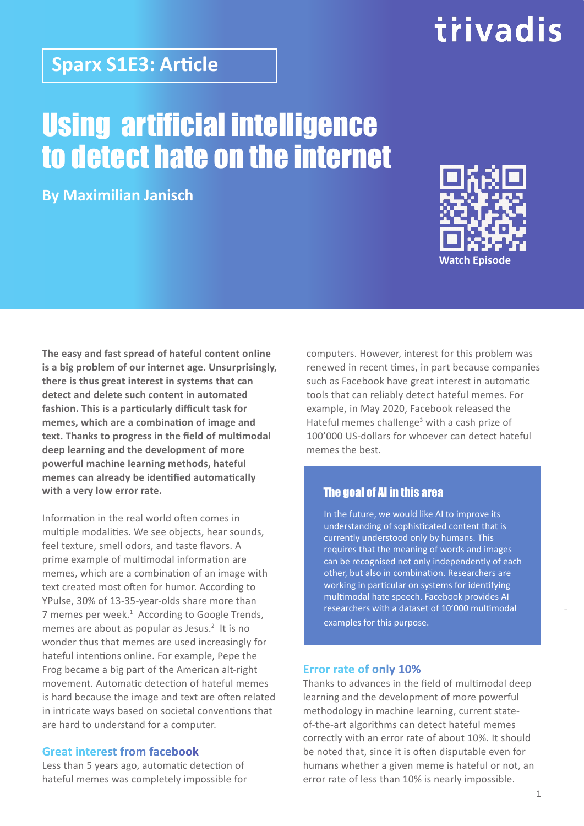### **Sparx S1E3: Article**

## Using artificial intelligence to detect hate on the internet

**By Maximilian Janisch**



trivadis

**The easy and fast spread of hateful content online is a big problem of our internet age. Unsurprisingly, there is thus great interest in systems that can detect and delete such content in automated fashion. This is a particularly difficult task for memes, which are a combination of image and text. Thanks to progress in the field of multimodal deep learning and the development of more powerful machine learning methods, hateful memes can already be identified automatically with a very low error rate.**

Information in the real world often comes in multiple modalities. We see objects, hear sounds, feel texture, smell odors, and taste flavors. A prime example of multimodal information are memes, which are a combination of an image with text created most often for humor. According to YPulse, 30% of 13-35-year-olds share more than 7 memes per week.<sup>1</sup> According to Google Trends, memes are about as popular as Jesus. $2$  It is no wonder thus that memes are used increasingly for hateful intentions online. For example, Pepe the Frog became a big part of the American alt-right movement. Automatic detection of hateful memes is hard because the image and text are often related in intricate ways based on societal conventions that are hard to understand for a computer.

#### **Great interest from facebook**

Less than 5 years ago, automatic detection of hateful memes was completely impossible for

computers. However, interest for this problem was renewed in recent times, in part because companies such as Facebook have great interest in automatic tools that can reliably detect hateful memes. For example, in May 2020, Facebook released the Hateful memes challenge<sup>3</sup> with a cash prize of 100'000 US-dollars for whoever can detect hateful memes the best.

#### The goal of AI in this area

In the future, we would like AI to improve its understanding of sophisticated content that is currently understood only by humans. This requires that the meaning of words and images can be recognised not only independently of each other, but also in combination. Researchers are working in particular on systems for identifying multimodal hate speech. Facebook provides AI researchers with a dataset of 10'000 multimodal examples for this purpose.

#### **Error rate of only 10%**

Thanks to advances in the field of multimodal deep learning and the development of more powerful methodology in machine learning, current stateof-the-art algorithms can detect hateful memes correctly with an error rate of about 10%. It should be noted that, since it is often disputable even for humans whether a given meme is hateful or not, an error rate of less than 10% is nearly impossible.